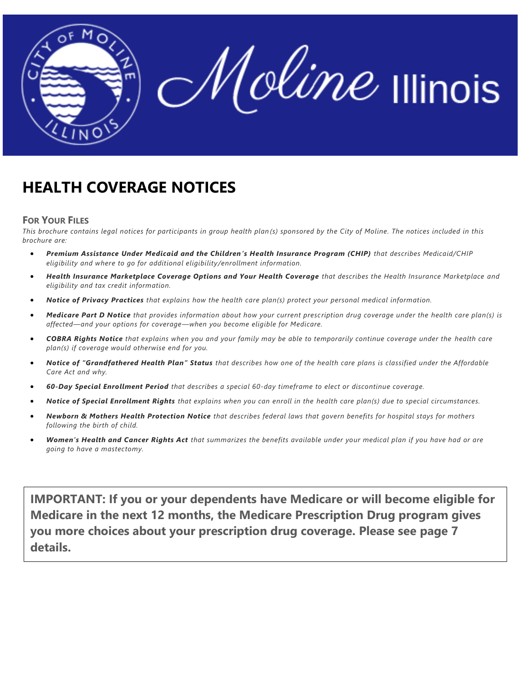

# $\mathcal{M}$ oline Illinois

# **HEALTH COVERAGE NOTICES**

## **FOR YOUR FILES**

*This brochure contains legal notices for participants in group health plan (s) sponsored by the City of Moline. The notices included in this brochure are:*

- *Premium Assistance Under Medicaid and the Children's Health Insurance Program (CHIP) that describes Medicaid/CHIP eligibility and where to go for additional eligibility/enrollment information.*
- *Health Insurance Marketplace Coverage Options and Your Health Coverage that describes the Health Insurance Marketplace and eligibility and tax credit information.*
- *Notice of Privacy Practices that explains how the health care plan(s) protect your personal medical information.*
- *Medicare Part D Notice that provides information about how your current presc ription drug coverage under the health care plan(s) is affected—and your options for coverage—when you become eligible for Medicare.*
- *COBRA Rights Notice that explains when you and your family may be able to temporarily continue coverage under the health care plan(s) if coverage would otherwise end for you.*
- *Notice of "Grandfathered Health Plan" Status that describes how one of the health care plans is classified under the Affordable Care Act and why.*
- *60-Day Special Enrollment Period that describes a special 60-day timeframe to elect or discontinue coverage.*
- *Notice of Special Enrollment Rights that explains when you can enroll in the health care plan(s) due to special circumstances.*
- *Newborn & Mothers Health Protection Notice that describes federal laws that govern benefits for hospital stays for mothers following the birth of child.*
- *Women's Health and Cancer Rights Act that summarizes the benefits available under your medical plan if you have had or are going to have a mastectomy.*

**IMPORTANT: If you or your dependents have Medicare or will become eligible for Medicare in the next 12 months, the Medicare Prescription Drug program gives you more choices about your prescription drug coverage. Please see page 7 details.**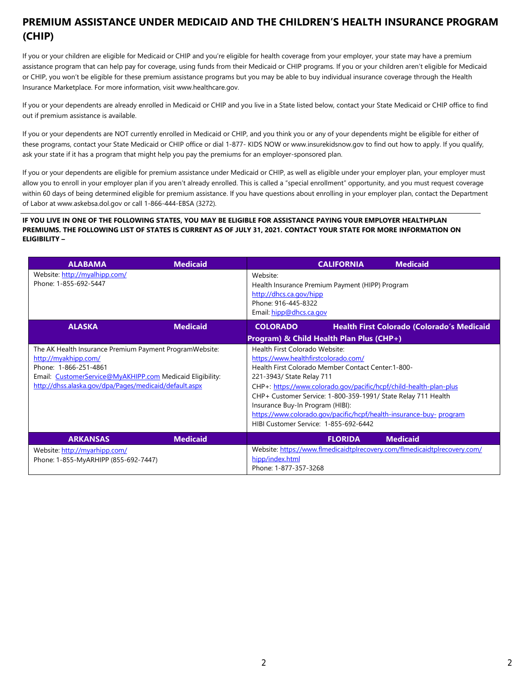# **PREMIUM ASSISTANCE UNDER MEDICAID AND THE CHILDREN'S HEALTH INSURANCE PROGRAM (CHIP)**

If you or your children are eligible for Medicaid or CHIP and you're eligible for health coverage from your employer, your state may have a premium assistance program that can help pay for coverage, using funds from their Medicaid or CHIP programs. If you or your children aren't eligible for Medicaid or CHIP, you won't be eligible for these premium assistance programs but you may be able to buy individual insurance coverage through the Health Insurance Marketplace. For more information, visit [www.healthcare.gov.](http://www.healthcare.gov/)

If you or your dependents are already enrolled in Medicaid or CHIP and you live in a State listed below, contact your State Medicaid or CHIP office to find out if premium assistance is available.

If you or your dependents are NOT currently enrolled in Medicaid or CHIP, and you think you or any of your dependents might be eligible for either of these programs, contact your State Medicaid or CHIP office or dial 1-877- KIDS NOW o[r www.insurekidsnow.gov t](http://www.insurekidsnow.gov/)o find out how to apply. If you qualify, ask your state if it has a program that might help you pay the premiums for an employer-sponsored plan.

If you or your dependents are eligible for premium assistance under Medicaid or CHIP, as well as eligible under your employer plan, your employer must allow you to enroll in your employer plan if you aren't already enrolled. This is called a "special enrollment" opportunity, and you must request coverage within 60 days of being determined eligible for premium assistance. If you have questions about enrolling in your employer plan, contact the Department of Labor at [www.askebsa.dol.gov o](http://www.askebsa.dol.gov/)r call 1-866-444-EBSA (3272).

### **IF YOU LIVE IN ONE OF THE FOLLOWING STATES, YOU MAY BE ELIGIBLE FOR ASSISTANCE PAYING YOUR EMPLOYER HEALTHPLAN PREMIUMS. THE FOLLOWING LIST OF STATES IS CURRENT AS OF JULY 31, 2021. CONTACT YOUR STATE FOR MORE INFORMATION ON ELIGIBILITY –**

| <b>ALABAMA</b>                                                                                                                                                                                                                  | <b>Medicaid</b> | <b>CALIFORNIA</b><br><b>Medicaid</b>                                                                                                                                                                                                                                                                                                                                                                                                                  |
|---------------------------------------------------------------------------------------------------------------------------------------------------------------------------------------------------------------------------------|-----------------|-------------------------------------------------------------------------------------------------------------------------------------------------------------------------------------------------------------------------------------------------------------------------------------------------------------------------------------------------------------------------------------------------------------------------------------------------------|
| Website: http://myalhipp.com/<br>Phone: 1-855-692-5447                                                                                                                                                                          |                 | Website:<br>Health Insurance Premium Payment (HIPP) Program<br>http://dhcs.ca.gov/hipp<br>Phone: 916-445-8322<br>Email: hipp@dhcs.ca.gov                                                                                                                                                                                                                                                                                                              |
| <b>ALASKA</b>                                                                                                                                                                                                                   | <b>Medicaid</b> | <b>Health First Colorado (Colorado's Medicaid</b><br><b>COLORADO</b>                                                                                                                                                                                                                                                                                                                                                                                  |
|                                                                                                                                                                                                                                 |                 | Program) & Child Health Plan Plus (CHP+)                                                                                                                                                                                                                                                                                                                                                                                                              |
| The AK Health Insurance Premium Payment ProgramWebsite:<br>http://myakhipp.com/<br>Phone: 1-866-251-4861<br>Email: CustomerService@MyAKHIPP.com Medicaid Eligibility:<br>http://dhss.alaska.gov/dpa/Pages/medicaid/default.aspx |                 | Health First Colorado Website:<br>https://www.healthfirstcolorado.com/<br>Health First Colorado Member Contact Center: 1-800-<br>221-3943/ State Relay 711<br>CHP+: https://www.colorado.gov/pacific/hcpf/child-health-plan-plus<br>CHP+ Customer Service: 1-800-359-1991/ State Relay 711 Health<br>Insurance Buy-In Program (HIBI):<br>https://www.colorado.gov/pacific/hcpf/health-insurance-buy- program<br>HIBI Customer Service: 1-855-692-6442 |
| <b>ARKANSAS</b>                                                                                                                                                                                                                 | <b>Medicaid</b> | <b>Medicaid</b><br><b>FLORIDA</b>                                                                                                                                                                                                                                                                                                                                                                                                                     |
| Website: http://myarhipp.com/<br>Phone: 1-855-MyARHIPP (855-692-7447)                                                                                                                                                           |                 | Website: https://www.flmedicaidtplrecovery.com/flmedicaidtplrecovery.com/<br>hipp/index.html<br>Phone: 1-877-357-3268                                                                                                                                                                                                                                                                                                                                 |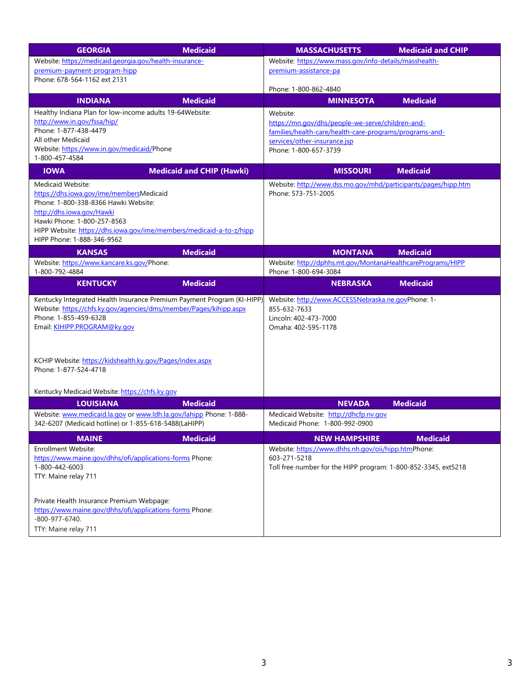| <b>GEORGIA</b>                                                                                     | <b>Medicaid</b>                  | <b>MASSACHUSETTS</b>                                                        | <b>Medicaid and CHIP</b> |
|----------------------------------------------------------------------------------------------------|----------------------------------|-----------------------------------------------------------------------------|--------------------------|
| Website: https://medicaid.georgia.gov/health-insurance-                                            |                                  | Website: https://www.mass.gov/info-details/masshealth-                      |                          |
| premium-payment-program-hipp                                                                       |                                  | premium-assistance-pa                                                       |                          |
| Phone: 678-564-1162 ext 2131                                                                       |                                  | Phone: 1-800-862-4840                                                       |                          |
| <b>INDIANA</b>                                                                                     | <b>Medicaid</b>                  | <b>MINNESOTA</b>                                                            | <b>Medicaid</b>          |
| Healthy Indiana Plan for low-income adults 19-64Website:                                           |                                  | Website:                                                                    |                          |
| http://www.in.gov/fssa/hip/                                                                        |                                  | https://mn.gov/dhs/people-we-serve/children-and-                            |                          |
| Phone: 1-877-438-4479                                                                              |                                  | families/health-care/health-care-programs/programs-and-                     |                          |
| All other Medicaid                                                                                 |                                  | services/other-insurance.jsp                                                |                          |
| Website: https://www.in.gov/medicaid/Phone<br>1-800-457-4584                                       |                                  | Phone: 1-800-657-3739                                                       |                          |
| <b>IOWA</b>                                                                                        | <b>Medicaid and CHIP (Hawki)</b> | <b>MISSOURI</b>                                                             | <b>Medicaid</b>          |
| Medicaid Website:                                                                                  |                                  | Website: http://www.dss.mo.gov/mhd/participants/pages/hipp.htm              |                          |
| https://dhs.iowa.gov/ime/membersMedicaid                                                           |                                  | Phone: 573-751-2005                                                         |                          |
| Phone: 1-800-338-8366 Hawki Website:                                                               |                                  |                                                                             |                          |
| http://dhs.iowa.gov/Hawki                                                                          |                                  |                                                                             |                          |
| Hawki Phone: 1-800-257-8563<br>HIPP Website: https://dhs.iowa.gov/ime/members/medicaid-a-to-z/hipp |                                  |                                                                             |                          |
| HIPP Phone: 1-888-346-9562                                                                         |                                  |                                                                             |                          |
| <b>KANSAS</b>                                                                                      | <b>Medicaid</b>                  | <b>MONTANA</b>                                                              | <b>Medicaid</b>          |
| Website: https://www.kancare.ks.gov/Phone:                                                         |                                  | Website: http://dphhs.mt.gov/MontanaHealthcarePrograms/HIPP                 |                          |
| 1-800-792-4884                                                                                     |                                  | Phone: 1-800-694-3084                                                       |                          |
| <b>KENTUCKY</b>                                                                                    | <b>Medicaid</b>                  | <b>NEBRASKA</b>                                                             | <b>Medicaid</b>          |
| Kentucky Integrated Health Insurance Premium Payment Program (KI-HIPP)                             |                                  | Website: http://www.ACCESSNebraska.ne.govPhone: 1-                          |                          |
| Website: https://chfs.ky.gov/agencies/dms/member/Pages/kihipp.aspx                                 |                                  | 855-632-7633                                                                |                          |
| Phone: 1-855-459-6328                                                                              |                                  | Lincoln: 402-473-7000                                                       |                          |
| Email: KIHIPP.PROGRAM@ky.gov                                                                       |                                  | Omaha: 402-595-1178                                                         |                          |
|                                                                                                    |                                  |                                                                             |                          |
|                                                                                                    |                                  |                                                                             |                          |
| KCHIP Website: https://kidshealth.ky.gov/Pages/index.aspx                                          |                                  |                                                                             |                          |
| Phone: 1-877-524-4718                                                                              |                                  |                                                                             |                          |
|                                                                                                    |                                  |                                                                             |                          |
| Kentucky Medicaid Website: https://chfs.ky.gov                                                     | <b>Medicaid</b>                  |                                                                             | <b>Medicaid</b>          |
| <b>LOUISIANA</b><br>Website: www.medicaid.la.gov or www.ldh.la.gov/lahipp Phone: 1-888-            |                                  | <b>NEVADA</b><br>Medicaid Website: http://dhcfp.nv.gov                      |                          |
| 342-6207 (Medicaid hotline) or 1-855-618-5488(LaHIPP)                                              |                                  | Medicaid Phone: 1-800-992-0900                                              |                          |
|                                                                                                    |                                  |                                                                             |                          |
| <b>MAINE</b><br>Enrollment Website:                                                                | <b>Medicaid</b>                  | <b>NEW HAMPSHIRE</b><br>Website: https://www.dhhs.nh.gov/oii/hipp.htmPhone: | <b>Medicaid</b>          |
| https://www.maine.gov/dhhs/ofi/applications-forms Phone:                                           |                                  | 603-271-5218                                                                |                          |
| 1-800-442-6003                                                                                     |                                  | Toll free number for the HIPP program: 1-800-852-3345, ext5218              |                          |
| TTY: Maine relay 711                                                                               |                                  |                                                                             |                          |
|                                                                                                    |                                  |                                                                             |                          |
| Private Health Insurance Premium Webpage:                                                          |                                  |                                                                             |                          |
| https://www.maine.gov/dhhs/ofi/applications-forms Phone:                                           |                                  |                                                                             |                          |
| $-800-977-6740.$                                                                                   |                                  |                                                                             |                          |
| TTY: Maine relay 711                                                                               |                                  |                                                                             |                          |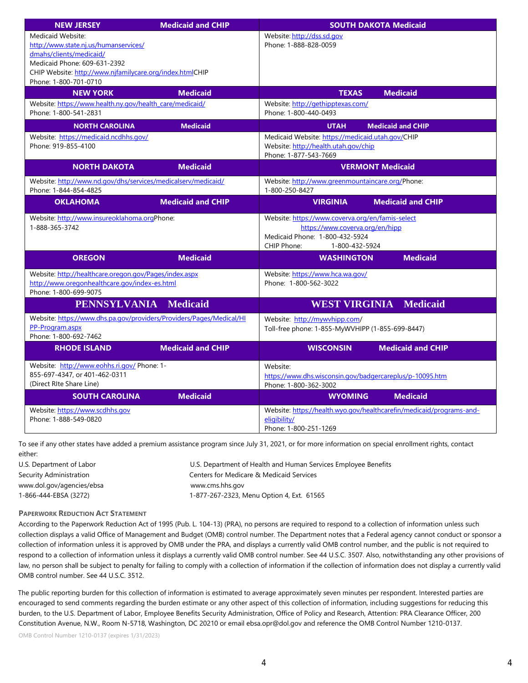| <b>NEW JERSEY</b>                                                    | <b>Medicaid and CHIP</b> | <b>SOUTH DAKOTA Medicaid</b>                                         |  |
|----------------------------------------------------------------------|--------------------------|----------------------------------------------------------------------|--|
| Medicaid Website:                                                    |                          | Website: http://dss.sd.gov                                           |  |
| http://www.state.nj.us/humanservices/                                |                          | Phone: 1-888-828-0059                                                |  |
| dmahs/clients/medicaid/                                              |                          |                                                                      |  |
| Medicaid Phone: 609-631-2392                                         |                          |                                                                      |  |
| CHIP Website: http://www.njfamilycare.org/index.htmlCHIP             |                          |                                                                      |  |
| Phone: 1-800-701-0710                                                |                          |                                                                      |  |
| <b>NEW YORK</b>                                                      | <b>Medicaid</b>          | <b>TEXAS</b><br><b>Medicaid</b>                                      |  |
| Website: https://www.health.ny.gov/health_care/medicaid/             |                          | Website: http://gethipptexas.com/                                    |  |
| Phone: 1-800-541-2831                                                |                          | Phone: 1-800-440-0493                                                |  |
| <b>NORTH CAROLINA</b>                                                | <b>Medicaid</b>          | <b>UTAH</b><br><b>Medicaid and CHIP</b>                              |  |
| Website: https://medicaid.ncdhhs.gov/                                |                          | Medicaid Website: https://medicaid.utah.gov/CHIP                     |  |
| Phone: 919-855-4100                                                  |                          | Website: http://health.utah.gov/chip                                 |  |
|                                                                      |                          | Phone: 1-877-543-7669                                                |  |
| <b>NORTH DAKOTA</b>                                                  | <b>Medicaid</b>          | <b>VERMONT Medicaid</b>                                              |  |
| Website: http://www.nd.gov/dhs/services/medicalserv/medicaid/        |                          | Website: http://www.greenmountaincare.org/Phone:                     |  |
| Phone: 1-844-854-4825                                                |                          | 1-800-250-8427                                                       |  |
| <b>OKLAHOMA</b>                                                      | <b>Medicaid and CHIP</b> | <b>VIRGINIA</b><br><b>Medicaid and CHIP</b>                          |  |
| Website: http://www.insureoklahoma.orgPhone:<br>1-888-365-3742       |                          | Website: https://www.coverva.org/en/famis-select                     |  |
|                                                                      |                          | https://www.coverva.org/en/hipp                                      |  |
|                                                                      |                          | Medicaid Phone: 1-800-432-5924                                       |  |
|                                                                      |                          | CHIP Phone:<br>1-800-432-5924                                        |  |
| <b>OREGON</b>                                                        | <b>Medicaid</b>          | <b>Medicaid</b><br><b>WASHINGTON</b>                                 |  |
| Website: http://healthcare.oregon.gov/Pages/index.aspx               |                          | Website: https://www.hca.wa.gov/                                     |  |
| http://www.oregonhealthcare.gov/index-es.html                        |                          | Phone: 1-800-562-3022                                                |  |
| Phone: 1-800-699-9075                                                |                          |                                                                      |  |
| <b>PENNSYLVANIA Medicaid</b>                                         |                          | <b>WEST VIRGINIA Medicaid</b>                                        |  |
| Website: https://www.dhs.pa.gov/providers/Providers/Pages/Medical/HI |                          | Website: http://mywvhipp.com/                                        |  |
| PP-Program.aspx                                                      |                          | Toll-free phone: 1-855-MyWVHIPP (1-855-699-8447)                     |  |
| Phone: 1-800-692-7462                                                |                          |                                                                      |  |
| <b>RHODE ISLAND</b>                                                  | <b>Medicaid and CHIP</b> | <b>WISCONSIN</b><br><b>Medicaid and CHIP</b>                         |  |
| Website: http://www.eohhs.ri.gov/ Phone: 1-                          |                          | Website:                                                             |  |
| 855-697-4347, or 401-462-0311                                        |                          | https://www.dhs.wisconsin.gov/badgercareplus/p-10095.htm             |  |
| (Direct RIte Share Line)                                             |                          | Phone: 1-800-362-3002                                                |  |
| <b>SOUTH CAROLINA</b>                                                | <b>Medicaid</b>          | <b>Medicaid</b><br><b>WYOMING</b>                                    |  |
| Website: https://www.scdhhs.gov                                      |                          | Website: https://health.wyo.gov/healthcarefin/medicaid/programs-and- |  |
| Phone: 1-888-549-0820                                                |                          | eligibility/                                                         |  |
|                                                                      |                          | Phone: 1-800-251-1269                                                |  |

To see if any other states have added a premium assistance program since July 31, 2021, or for more information on special enrollment rights, contact either:

[www.dol.gov/agencies/ebsa](http://www.dol.gov/agencies/ebsa) [www.cms.hhs.gov](http://www.cms.hhs.gov/)

U.S. Department of Labor U.S. Department of Health and Human Services Employee Benefits Security Administration **Centers for Medicare & Medicaid Services** 1-866-444-EBSA (3272) 1-877-267-2323, Menu Option 4, Ext. 61565

### **PAPERWORK REDUCTION ACT STATEMENT**

According to the Paperwork Reduction Act of 1995 (Pub. L. 104-13) (PRA), no persons are required to respond to a collection of information unless such collection displays a valid Office of Management and Budget (OMB) control number. The Department notes that a Federal agency cannot conduct or sponsor a collection of information unless it is approved by OMB under the PRA, and displays a currently valid OMB control number, and the public is not required to respond to a collection of information unless it displays a currently valid OMB control number. See 44 U.S.C. 3507. Also, notwithstanding any other provisions of law, no person shall be subject to penalty for failing to comply with a collection of information if the collection of information does not display a currently valid OMB control number. See 44 U.S.C. 3512.

The public reporting burden for this collection of information is estimated to average approximately seven minutes per respondent. Interested parties are encouraged to send comments regarding the burden estimate or any other aspect of this collection of information, including suggestions for reducing this burden, to the U.S. Department of Labor, Employee Benefits Security Administration, Office of Policy and Research, Attention: PRA Clearance Officer, 200 Constitution Avenue, N.W., Room N-5718, Washington, DC 20210 or email [ebsa.opr@dol.gov a](mailto:ebsa.opr@dol.gov)nd reference the OMB Control Number 1210-0137.

OMB Control Number 1210-0137 (expires 1/31/2023)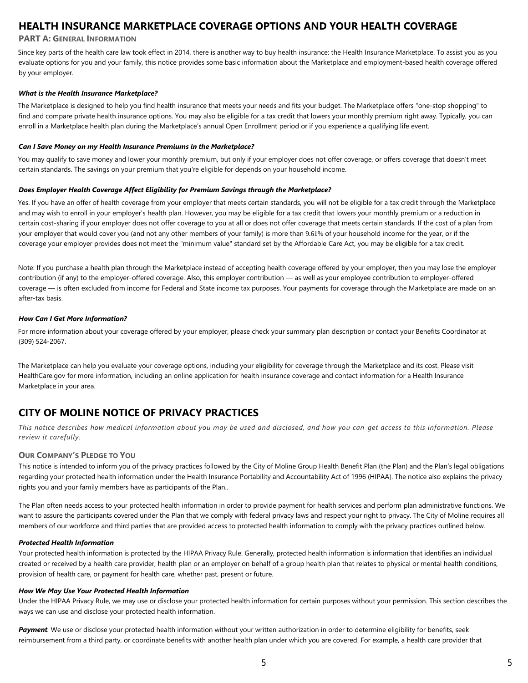# **HEALTH INSURANCE MARKETPLACE COVERAGE OPTIONS AND YOUR HEALTH COVERAGE**

### **PART A: GENERAL INFORMATION**

Since key parts of the health care law took effect in 2014, there is another way to buy health insurance: the Health Insurance Marketplace. To assist you as you evaluate options for you and your family, this notice provides some basic information about the Marketplace and employment-based health coverage offered by your employer.

### *What is the Health Insurance Marketplace?*

The Marketplace is designed to help you find health insurance that meets your needs and fits your budget. The Marketplace offers "one-stop shopping" to find and compare private health insurance options. You may also be eligible for a tax credit that lowers your monthly premium right away. Typically, you can enroll in a Marketplace health plan during the Marketplace's annual Open Enrollment period or if you experience a qualifying life event.

### *Can I Save Money on my Health Insurance Premiums in the Marketplace?*

You may qualify to save money and lower your monthly premium, but only if your employer does not offer coverage, or offers coverage that doesn't meet certain standards. The savings on your premium that you're eligible for depends on your household income.

### *Does Employer Health Coverage Affect Eligibility for Premium Savings through the Marketplace?*

Yes. If you have an offer of health coverage from your employer that meets certain standards, you will not be eligible for a tax credit through the Marketplace and may wish to enroll in your employer's health plan. However, you may be eligible for a tax credit that lowers your monthly premium or a reduction in certain cost-sharing if your employer does not offer coverage to you at all or does not offer coverage that meets certain standards. If the cost of a plan from your employer that would cover you (and not any other members of your family) is more than 9.61% of your household income for the year, or if the coverage your employer provides does not meet the "minimum value" standard set by the Affordable Care Act, you may be eligible for a tax credit.

Note: If you purchase a health plan through the Marketplace instead of accepting health coverage offered by your employer, then you may lose the employer contribution (if any) to the employer-offered coverage. Also, this employer contribution — as well as your employee contribution to employer-offered coverage — is often excluded from income for Federal and State income tax purposes. Your payments for coverage through the Marketplace are made on an after-tax basis.

### *How Can I Get More Information?*

For more information about your coverage offered by your employer, please check your summary plan description or contact your Benefits Coordinator at (309) 524-2067.

The Marketplace can help you evaluate your coverage options, including your eligibility for coverage through the Marketplace and its cost. Please visit [HealthCare.gov](http://www.healthcare.gov/) for more information, including an online application for health insurance coverage and contact information for a Health Insurance Marketplace in your area.

# **CITY OF MOLINE NOTICE OF PRIVACY PRACTICES**

*This notice describes how medical information about you may be used and disclosed, and how you can get access to this information. Please review it carefully.*

### **OUR COMPANY'S PLEDGE TO YOU**

This notice is intended to inform you of the privacy practices followed by the City of Moline Group Health Benefit Plan (the Plan) and the Plan's legal obligations regarding your protected health information under the Health Insurance Portability and Accountability Act of 1996 (HIPAA). The notice also explains the privacy rights you and your family members have as participants of the Plan.*.*

The Plan often needs access to your protected health information in order to provide payment for health services and perform plan administrative functions. We want to assure the participants covered under the Plan that we comply with federal privacy laws and respect your right to privacy. The City of Moline requires all members of our workforce and third parties that are provided access to protected health information to comply with the privacy practices outlined below.

### *Protected Health Information*

Your protected health information is protected by the HIPAA Privacy Rule. Generally, protected health information is information that identifies an individual created or received by a health care provider, health plan or an employer on behalf of a group health plan that relates to physical or mental health conditions, provision of health care, or payment for health care, whether past, present or future.

### *How We May Use Your Protected Health Information*

Under the HIPAA Privacy Rule, we may use or disclose your protected health information for certain purposes without your permission. This section describes the ways we can use and disclose your protected health information.

*Payment.* We use or disclose your protected health information without your written authorization in order to determine eligibility for benefits, seek reimbursement from a third party, or coordinate benefits with another health plan under which you are covered. For example, a health care provider that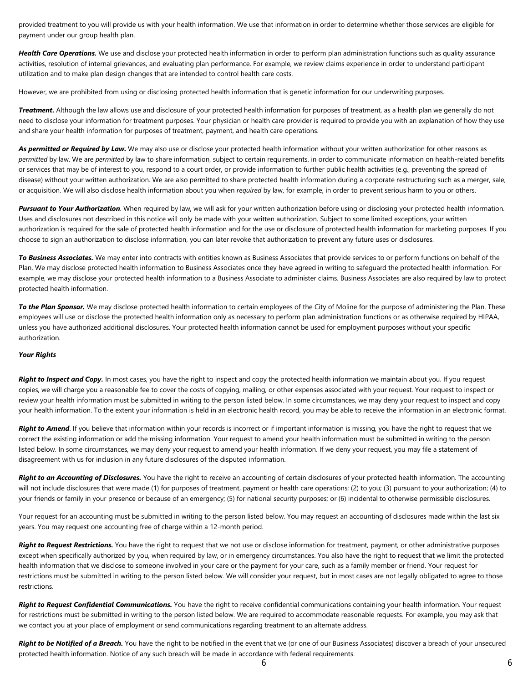provided treatment to you will provide us with your health information. We use that information in order to determine whether those services are eligible for payment under our group health plan.

*Health Care Operations.* We use and disclose your protected health information in order to perform plan administration functions such as quality assurance activities, resolution of internal grievances, and evaluating plan performance. For example, we review claims experience in order to understand participant utilization and to make plan design changes that are intended to control health care costs.

However, we are prohibited from using or disclosing protected health information that is genetic information for our underwriting purposes.

*Treatment***.** Although the law allows use and disclosure of your protected health information for purposes of treatment, as a health plan we generally do not need to disclose your information for treatment purposes. Your physician or health care provider is required to provide you with an explanation of how they use and share your health information for purposes of treatment, payment, and health care operations.

As permitted or Required by Law. We may also use or disclose your protected health information without your written authorization for other reasons as *permitted* by law. We are *permitted* by law to share information, subject to certain requirements, in order to communicate information on health-related benefits or services that may be of interest to you, respond to a court order, or provide information to further public health activities (e.g., preventing the spread of disease) without your written authorization. We are also permitted to share protected health information during a corporate restructuring such as a merger, sale, or acquisition. We will also disclose health information about you when *required* by law, for example, in order to prevent serious harm to you or others.

*Pursuant to Your Authorization*. When required by law, we will ask for your written authorization before using or disclosing your protected health information. Uses and disclosures not described in this notice will only be made with your written authorization. Subject to some limited exceptions, your written authorization is required for the sale of protected health information and for the use or disclosure of protected health information for marketing purposes. If you choose to sign an authorization to disclose information, you can later revoke that authorization to prevent any future uses or disclosures.

*To Business Associates.* We may enter into contracts with entities known as Business Associates that provide services to or perform functions on behalf of the Plan. We may disclose protected health information to Business Associates once they have agreed in writing to safeguard the protected health information. For example, we may disclose your protected health information to a Business Associate to administer claims. Business Associates are also required by law to protect protected health information.

*To the Plan Sponsor.* We may disclose protected health information to certain employees of the City of Moline for the purpose of administering the Plan. These employees will use or disclose the protected health information only as necessary to perform plan administration functions or as otherwise required by HIPAA, unless you have authorized additional disclosures. Your protected health information cannot be used for employment purposes without your specific authorization.

### *Your Rights*

**Right to Inspect and Copy.** In most cases, you have the right to inspect and copy the protected health information we maintain about you. If you request copies, we will charge you a reasonable fee to cover the costs of copying, mailing, or other expenses associated with your request. Your request to inspect or review your health information must be submitted in writing to the person listed below. In some circumstances, we may deny your request to inspect and copy your health information. To the extent your information is held in an electronic health record, you may be able to receive the information in an electronic format.

*Right to Amend*. If you believe that information within your records is incorrect or if important information is missing, you have the right to request that we correct the existing information or add the missing information. Your request to amend your health information must be submitted in writing to the person listed below. In some circumstances, we may deny your request to amend your health information. If we deny your request, you may file a statement of disagreement with us for inclusion in any future disclosures of the disputed information.

*Right to an Accounting of Disclosures.* You have the right to receive an accounting of certain disclosures of your protected health information. The accounting will not include disclosures that were made (1) for purposes of treatment, payment or health care operations; (2) to you; (3) pursuant to your authorization; (4) to your friends or family in your presence or because of an emergency; (5) for national security purposes; or (6) incidental to otherwise permissible disclosures.

Your request for an accounting must be submitted in writing to the person listed below. You may request an accounting of disclosures made within the last six years. You may request one accounting free of charge within a 12-month period.

*Right to Request Restrictions.* You have the right to request that we not use or disclose information for treatment, payment, or other administrative purposes except when specifically authorized by you, when required by law, or in emergency circumstances. You also have the right to request that we limit the protected health information that we disclose to someone involved in your care or the payment for your care, such as a family member or friend. Your request for restrictions must be submitted in writing to the person listed below. We will consider your request, but in most cases are not legally obligated to agree to those restrictions.

*Right to Request Confidential Communications.* You have the right to receive confidential communications containing your health information. Your request for restrictions must be submitted in writing to the person listed below. We are required to accommodate reasonable requests. For example, you may ask that we contact you at your place of employment or send communications regarding treatment to an alternate address.

*Right to be Notified of a Breach.* You have the right to be notified in the event that we (or one of our Business Associates) discover a breach of your unsecured protected health information. Notice of any such breach will be made in accordance with federal requirements.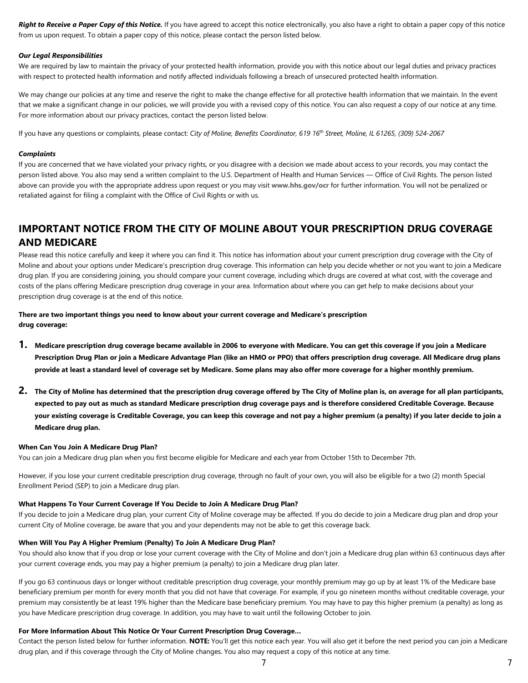Right to Receive a Paper Copy of this Notice. If you have agreed to accept this notice electronically, you also have a right to obtain a paper copy of this notice from us upon request. To obtain a paper copy of this notice, please contact the person listed below.

### *Our Legal Responsibilities*

We are required by law to maintain the privacy of your protected health information, provide you with this notice about our legal duties and privacy practices with respect to protected health information and notify affected individuals following a breach of unsecured protected health information.

We may change our policies at any time and reserve the right to make the change effective for all protective health information that we maintain. In the event that we make a significant change in our policies, we will provide you with a revised copy of this notice. You can also request a copy of our notice at any time. For more information about our privacy practices, contact the person listed below.

If you have any questions or complaints, please contact: *City of Moline, Benefits Coordinator, 619 16th Street, Moline, IL 61265, (309) 524-2067*

### *Complaints*

If you are concerned that we have violated your privacy rights, or you disagree with a decision we made about access to your records, you may contact the person listed above. You also may send a written complaint to the U.S. Department of Health and Human Services — Office of Civil Rights. The person listed above can provide you with the appropriate address upon request or you may visit **[www.hhs.gov/ocr](http://www.hhs.gov/ocr)** for further information. You will not be penalized or retaliated against for filing a complaint with the Office of Civil Rights or with us.

# **IMPORTANT NOTICE FROM THE CITY OF MOLINE ABOUT YOUR PRESCRIPTION DRUG COVERAGE AND MEDICARE**

Please read this notice carefully and keep it where you can find it. This notice has information about your current prescription drug coverage with the City of Moline and about your options under Medicare's prescription drug coverage. This information can help you decide whether or not you want to join a Medicare drug plan. If you are considering joining, you should compare your current coverage, including which drugs are covered at what cost, with the coverage and costs of the plans offering Medicare prescription drug coverage in your area. Information about where you can get help to make decisions about your prescription drug coverage is at the end of this notice.

### **There are two important things you need to know about your current coverage and Medicare's prescription drug coverage:**

- **1. Medicare prescription drug coverage became available in 2006 to everyone with Medicare. You can get this coverage if you join a Medicare Prescription Drug Plan or join a Medicare Advantage Plan (like an HMO or PPO) that offers prescription drug coverage. All Medicare drug plans provide at least a standard level of coverage set by Medicare. Some plans may also offer more coverage for a higher monthly premium.**
- **2. The City of Moline has determined that the prescription drug coverage offered by The City of Moline plan is, on average for all plan participants, expected to pay out as much as standard Medicare prescription drug coverage pays and is therefore considered Creditable Coverage. Because your existing coverage is Creditable Coverage, you can keep this coverage and not pay a higher premium (a penalty) if you later decide to join a Medicare drug plan.**

### **When Can You Join A Medicare Drug Plan?**

You can join a Medicare drug plan when you first become eligible for Medicare and each year from October 15th to December 7th.

However, if you lose your current creditable prescription drug coverage, through no fault of your own, you will also be eligible for a two (2) month Special Enrollment Period (SEP) to join a Medicare drug plan.

### **What Happens To Your Current Coverage If You Decide to Join A Medicare Drug Plan?**

If you decide to join a Medicare drug plan, your current City of Moline coverage may be affected. If you do decide to join a Medicare drug plan and drop your current City of Moline coverage, be aware that you and your dependents may not be able to get this coverage back.

### **When Will You Pay A Higher Premium (Penalty) To Join A Medicare Drug Plan?**

You should also know that if you drop or lose your current coverage with the City of Moline and don't join a Medicare drug plan within 63 continuous days after your current coverage ends, you may pay a higher premium (a penalty) to join a Medicare drug plan later.

If you go 63 continuous days or longer without creditable prescription drug coverage, your monthly premium may go up by at least 1% of the Medicare base beneficiary premium per month for every month that you did not have that coverage. For example, if you go nineteen months without creditable coverage, your premium may consistently be at least 19% higher than the Medicare base beneficiary premium. You may have to pay this higher premium (a penalty) as long as you have Medicare prescription drug coverage. In addition, you may have to wait until the following October to join.

### **For More Information About This Notice Or Your Current Prescription Drug Coverage…**

Contact the person listed below for further information. **NOTE:** You'll get this notice each year. You will also get it before the next period you can join a Medicare drug plan, and if this coverage through the City of Moline changes. You also may request a copy of this notice at any time.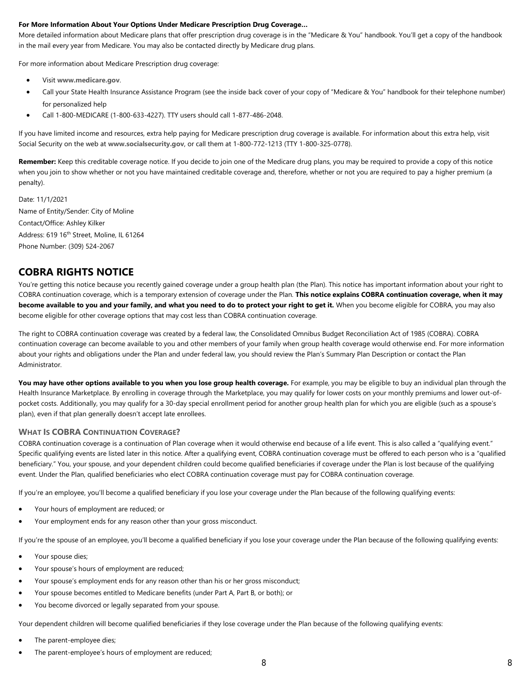### **For More Information About Your Options Under Medicare Prescription Drug Coverage…**

More detailed information about Medicare plans that offer prescription drug coverage is in the "Medicare & You" handbook. You'll get a copy of the handbook in the mail every year from Medicare. You may also be contacted directly by Medicare drug plans.

For more information about Medicare Prescription drug coverage:

- Visit **[www.medicare.gov](http://www.medicare.gov/)**.
- Call your State Health Insurance Assistance Program (see the inside back cover of your copy of "Medicare & You" handbook for their telephone number) for personalized help
- Call 1-800-MEDICARE (1-800-633-4227). TTY users should call 1-877-486-2048.

If you have limited income and resources, extra help paying for Medicare prescription drug coverage is available. For information about this extra help, visit Social Security on the web at **www.socialsecurity.gov**, or call them at 1-800-772-1213 (TTY 1-800-325-0778).

**Remember:** Keep this creditable coverage notice. If you decide to join one of the Medicare drug plans, you may be required to provide a copy of this notice when you join to show whether or not you have maintained creditable coverage and, therefore, whether or not you are required to pay a higher premium (a penalty).

Date: 11/1/2021 Name of Entity/Sender: City of Moline Contact/Office: Ashley Kilker Address: 619 16<sup>th</sup> Street, Moline, IL 61264 Phone Number: (309) 524-2067

# **COBRA RIGHTS NOTICE**

You're getting this notice because you recently gained coverage under a group health plan (the Plan). This notice has important information about your right to COBRA continuation coverage, which is a temporary extension of coverage under the Plan. **This notice explains COBRA continuation coverage, when it may become available to you and your family, and what you need to do to protect your right to get it.** When you become eligible for COBRA, you may also become eligible for other coverage options that may cost less than COBRA continuation coverage.

The right to COBRA continuation coverage was created by a federal law, the Consolidated Omnibus Budget Reconciliation Act of 1985 (COBRA). COBRA continuation coverage can become available to you and other members of your family when group health coverage would otherwise end. For more information about your rights and obligations under the Plan and under federal law, you should review the Plan's Summary Plan Description or contact the Plan Administrator.

You may have other options available to you when you lose group health coverage. For example, you may be eligible to buy an individual plan through the Health Insurance Marketplace. By enrolling in coverage through the Marketplace, you may qualify for lower costs on your monthly premiums and lower out-ofpocket costs. Additionally, you may qualify for a 30-day special enrollment period for another group health plan for which you are eligible (such as a spouse's plan), even if that plan generally doesn't accept late enrollees.

### **WHAT IS COBRA CONTINUATION COVERAGE?**

COBRA continuation coverage is a continuation of Plan coverage when it would otherwise end because of a life event. This is also called a "qualifying event." Specific qualifying events are listed later in this notice. After a qualifying event, COBRA continuation coverage must be offered to each person who is a "qualified beneficiary." You, your spouse, and your dependent children could become qualified beneficiaries if coverage under the Plan is lost because of the qualifying event. Under the Plan, qualified beneficiaries who elect COBRA continuation coverage must pay for COBRA continuation coverage.

If you're an employee, you'll become a qualified beneficiary if you lose your coverage under the Plan because of the following qualifying events:

- Your hours of employment are reduced; or
- Your employment ends for any reason other than your gross misconduct.

If you're the spouse of an employee, you'll become a qualified beneficiary if you lose your coverage under the Plan because of the following qualifying events:

- Your spouse dies;
- Your spouse's hours of employment are reduced;
- Your spouse's employment ends for any reason other than his or her gross misconduct;
- Your spouse becomes entitled to Medicare benefits (under Part A, Part B, or both); or
- You become divorced or legally separated from your spouse.

Your dependent children will become qualified beneficiaries if they lose coverage under the Plan because of the following qualifying events:

- The parent-employee dies;
- The parent-employee's hours of employment are reduced;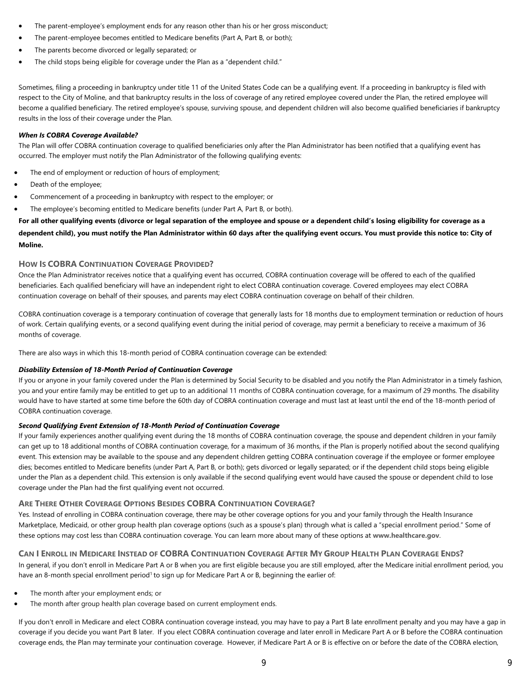- The parent-employee's employment ends for any reason other than his or her gross misconduct;
- The parent-employee becomes entitled to Medicare benefits (Part A, Part B, or both);
- The parents become divorced or legally separated; or
- The child stops being eligible for coverage under the Plan as a "dependent child."

Sometimes, filing a proceeding in bankruptcy under title 11 of the United States Code can be a qualifying event. If a proceeding in bankruptcy is filed with respect to the City of Moline, and that bankruptcy results in the loss of coverage of any retired employee covered under the Plan, the retired employee will become a qualified beneficiary. The retired employee's spouse, surviving spouse, and dependent children will also become qualified beneficiaries if bankruptcy results in the loss of their coverage under the Plan.

### *When Is COBRA Coverage Available?*

The Plan will offer COBRA continuation coverage to qualified beneficiaries only after the Plan Administrator has been notified that a qualifying event has occurred. The employer must notify the Plan Administrator of the following qualifying events:

- The end of employment or reduction of hours of employment;
- Death of the employee;
- Commencement of a proceeding in bankruptcy with respect to the employer; or
- The employee's becoming entitled to Medicare benefits (under Part A, Part B, or both).

**For all other qualifying events (divorce or legal separation of the employee and spouse or a dependent child's losing eligibility for coverage as a dependent child), you must notify the Plan Administrator within 60 days after the qualifying event occurs. You must provide this notice to: City of Moline.**

### **HOW IS COBRA CONTINUATION COVERAGE PROVIDED?**

Once the Plan Administrator receives notice that a qualifying event has occurred, COBRA continuation coverage will be offered to each of the qualified beneficiaries. Each qualified beneficiary will have an independent right to elect COBRA continuation coverage. Covered employees may elect COBRA continuation coverage on behalf of their spouses, and parents may elect COBRA continuation coverage on behalf of their children.

COBRA continuation coverage is a temporary continuation of coverage that generally lasts for 18 months due to employment termination or reduction of hours of work. Certain qualifying events, or a second qualifying event during the initial period of coverage, may permit a beneficiary to receive a maximum of 36 months of coverage.

There are also ways in which this 18-month period of COBRA continuation coverage can be extended:

### *Disability Extension of 18-Month Period of Continuation Coverage*

If you or anyone in your family covered under the Plan is determined by Social Security to be disabled and you notify the Plan Administrator in a timely fashion, you and your entire family may be entitled to get up to an additional 11 months of COBRA continuation coverage, for a maximum of 29 months. The disability would have to have started at some time before the 60th day of COBRA continuation coverage and must last at least until the end of the 18-month period of COBRA continuation coverage.

### *Second Qualifying Event Extension of 18-Month Period of Continuation Coverage*

If your family experiences another qualifying event during the 18 months of COBRA continuation coverage, the spouse and dependent children in your family can get up to 18 additional months of COBRA continuation coverage, for a maximum of 36 months, if the Plan is properly notified about the second qualifying event. This extension may be available to the spouse and any dependent children getting COBRA continuation coverage if the employee or former employee dies; becomes entitled to Medicare benefits (under Part A, Part B, or both); gets divorced or legally separated; or if the dependent child stops being eligible under the Plan as a dependent child. This extension is only available if the second qualifying event would have caused the spouse or dependent child to lose coverage under the Plan had the first qualifying event not occurred.

### **ARE THERE OTHER COVERAGE OPTIONS BESIDES COBRA CONTINUATION COVERAGE?**

Yes. Instead of enrolling in COBRA continuation coverage, there may be other coverage options for you and your family through the Health Insurance Marketplace, Medicaid, or other group health plan coverage options (such as a spouse's plan) through what is called a "special enrollment period." Some of these options may cost less than COBRA continuation coverage. You can learn more about many of these options at **[www.healthcare.gov](http://www.healthcare.gov/)**.

### CAN I ENROLL IN MEDICARE INSTEAD OF COBRA CONTINUATION COVERAGE AFTER MY GROUP HEALTH PLAN COVERAGE ENDS?

In general, if you don't enroll in Medicare Part A or B when you are first eligible because you are still employed, after the Medicare initial enrollment period, you have an 8-month special enrollment period<sup>1</sup> to sign up for Medicare Part A or B, beginning the earlier of:

- The month after your employment ends; or
- The month after group health plan coverage based on current employment ends.

If you don't enroll in Medicare and elect COBRA continuation coverage instead, you may have to pay a Part B late enrollment penalty and you may have a gap in coverage if you decide you want Part B later. If you elect COBRA continuation coverage and later enroll in Medicare Part A or B before the COBRA continuation coverage ends, the Plan may terminate your continuation coverage. However, if Medicare Part A or B is effective on or before the date of the COBRA election,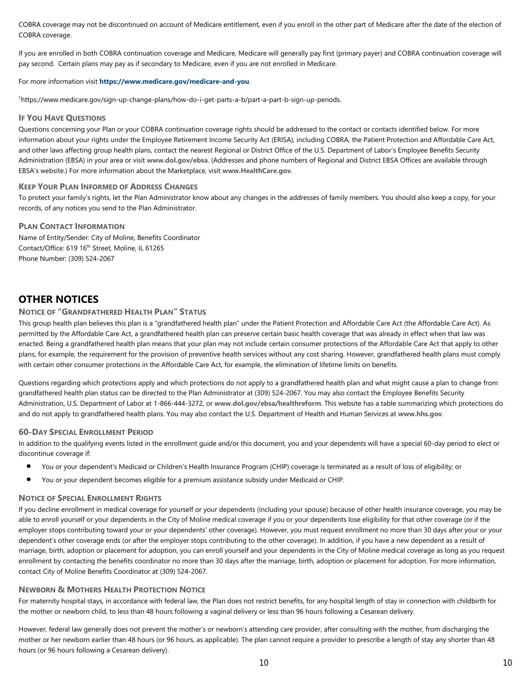COBRA coverage may not be discontinued on account of Medicare entitlement, even if you enroll in the other part of Medicare after the date of the election of COBRA coverage.

If you are enrolled in both COBRA continuation coverage and Medicare, Medicare will generally pay first (primary payer) and COBRA continuation coverage will pay second. Certain plans may pay as if secondary to Medicare, even if you are not enrolled in Medicare.

For more information visit **<https://www.medicare.gov/medicare-and-you>**.

<sup>1</sup>https://www.medicare.gov/sign-up-change-plans/how-do-i-get-parts-a-b/part-a-part-b-sign-up-periods.

### **IF YOU HAVE QUESTIONS**

Questions concerning your Plan or your COBRA continuation coverage rights should be addressed to the contact or contacts identified below. For more information about your rights under the Employee Retirement Income Security Act (ERISA), including COBRA, the Patient Protection and Affordable Care Act, and other laws affecting group health plans, contact the nearest Regional or District Office of the U.S. Department of Labor's Employee Benefits Security Administration (EBSA) in your area or visit **[www.dol.gov/ebsa](http://www.dol.gov/ebsa)**. (Addresses and phone numbers of Regional and District EBSA Offices are available through EBSA's website.) For more information about the Marketplace, visit **[www.HealthCare.gov](http://www.healthcare.gov/)**.

### **KEEP YOUR PLAN INFORMED OF ADDRESS CHANGES**

To protect your family's rights, let the Plan Administrator know about any changes in the addresses of family members. You should also keep a copy, for your records, of any notices you send to the Plan Administrator.

### **PLAN CONTACT INFORMATION**

Name of Entity/Sender: City of Moline, Benefits Coordinator Contact/Office: 619 16<sup>th</sup> Street, Moline, IL 61265 Phone Number: (309) 524-2067

# **OTHER NOTICES**

### **NOTICE OF "GRANDFATHERED HEALTH PLAN" STATUS**

This group health plan believes this plan is a "grandfathered health plan" under the Patient Protection and Affordable Care Act (the Affordable Care Act). As permitted by the Affordable Care Act, a grandfathered health plan can preserve certain basic health coverage that was already in effect when that law was enacted. Being a grandfathered health plan means that your plan may not include certain consumer protections of the Affordable Care Act that apply to other plans, for example, the requirement for the provision of preventive health services without any cost sharing. However, grandfathered health plans must comply with certain other consumer protections in the Affordable Care Act, for example, the elimination of lifetime limits on benefits.

Questions regarding which protections apply and which protections do not apply to a grandfathered health plan and what might cause a plan to change from grandfathered health plan status can be directed to the Plan Administrator at (309) 524-2067. You may also contact the Employee Benefits Security Administration, U.S. Department of Labor at 1-866-444-3272, or **[www.dol.gov/ebsa/healthreform](https://www.dol.gov/agencies/ebsa/laws-and-regulations/laws/affordable-care-act/for-employers-and-advisers)**. This website has a table summarizing which protections do and do not apply to grandfathered health plans. You may also contact the U.S. Department of Health and Human Services at **[www.hhs.gov](https://www.hhs.gov/)**.

### **60-DAY SPECIAL ENROLLMENT PERIOD**

In addition to the qualifying events listed in the enrollment guide and/or this document, you and your dependents will have a special 60-day period to elect or discontinue coverage if:

- You or your dependent's Medicaid or Children's Health Insurance Program (CHIP) coverage is terminated as a result of loss of eligibility; or
- You or your dependent becomes eligible for a premium assistance subsidy under Medicaid or CHIP.

### **NOTICE OF SPECIAL ENROLLMENT RIGHTS**

If you decline enrollment in medical coverage for yourself or your dependents (including your spouse) because of other health insurance coverage, you may be able to enroll yourself or your dependents in the City of Moline medical coverage if you or your dependents lose eligibility for that other coverage (or if the employer stops contributing toward your or your dependents' other coverage). However, you must request enrollment no more than 30 days after your or your dependent's other coverage ends (or after the employer stops contributing to the other coverage). In addition, if you have a new dependent as a result of marriage, birth, adoption or placement for adoption, you can enroll yourself and your dependents in the City of Moline medical coverage as long as you request enrollment by contacting the benefits coordinator no more than 30 days after the marriage, birth, adoption or placement for adoption. For more information, contact City of Moline Benefits Coordinator at (309) 524-2067.

### **NEWBORN & MOTHERS HEALTH PROTECTION NOTICE**

For maternity hospital stays, in accordance with federal law, the Plan does not restrict benefits, for any hospital length of stay in connection with childbirth for the mother or newborn child, to less than 48 hours following a vaginal delivery or less than 96 hours following a Cesarean delivery.

However, federal law generally does not prevent the mother's or newborn's attending care provider, after consulting with the mother, from discharging the mother or her newborn earlier than 48 hours (or 96 hours, as applicable). The plan cannot require a provider to prescribe a length of stay any shorter than 48 hours (or 96 hours following a Cesarean delivery).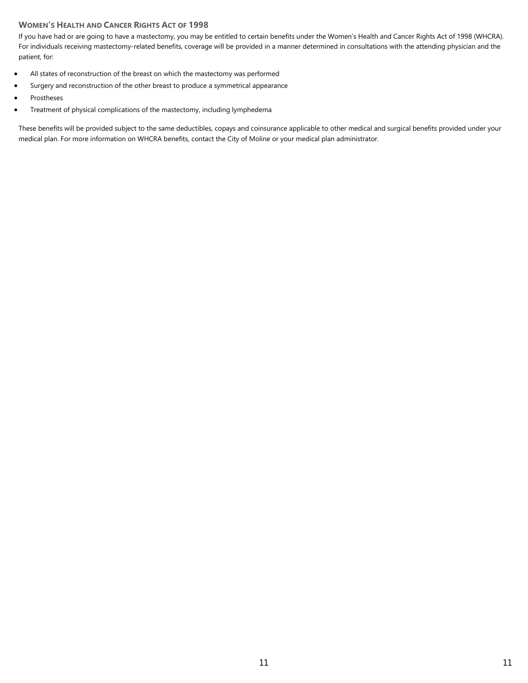### **WOMEN'S HEALTH AND CANCER RIGHTS ACT OF 1998**

If you have had or are going to have a mastectomy, you may be entitled to certain benefits under the Women's Health and Cancer Rights Act of 1998 (WHCRA). For individuals receiving mastectomy-related benefits, coverage will be provided in a manner determined in consultations with the attending physician and the patient, for:

- All states of reconstruction of the breast on which the mastectomy was performed
- Surgery and reconstruction of the other breast to produce a symmetrical appearance
- **Prostheses**
- Treatment of physical complications of the mastectomy, including lymphedema

These benefits will be provided subject to the same deductibles, copays and coinsurance applicable to other medical and surgical benefits provided under your medical plan. For more information on WHCRA benefits, contact the City of Moline or your medical plan administrator.